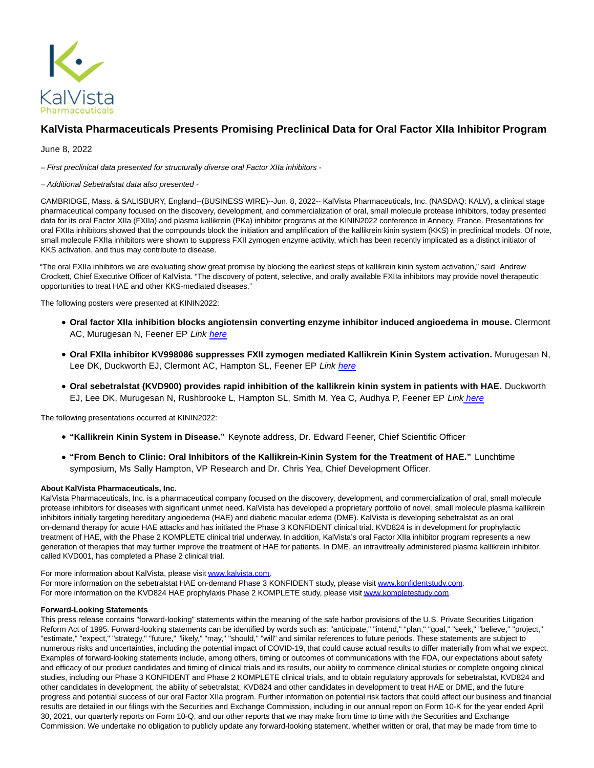

## **KalVista Pharmaceuticals Presents Promising Preclinical Data for Oral Factor XIIa Inhibitor Program**

June 8, 2022

– First preclinical data presented for structurally diverse oral Factor XIIa inhibitors -

– Additional Sebetralstat data also presented -

CAMBRIDGE, Mass. & SALISBURY, England--(BUSINESS WIRE)--Jun. 8, 2022-- KalVista Pharmaceuticals, Inc. (NASDAQ: KALV), a clinical stage pharmaceutical company focused on the discovery, development, and commercialization of oral, small molecule protease inhibitors, today presented data for its oral Factor XIIa (FXIIa) and plasma kallikrein (PKa) inhibitor programs at the KININ2022 conference in Annecy, France. Presentations for oral FXIIa inhibitors showed that the compounds block the initiation and amplification of the kallikrein kinin system (KKS) in preclinical models. Of note, small molecule FXIIa inhibitors were shown to suppress FXII zymogen enzyme activity, which has been recently implicated as a distinct initiator of KKS activation, and thus may contribute to disease.

"The oral FXIIa inhibitors we are evaluating show great promise by blocking the earliest steps of kallikrein kinin system activation," said Andrew Crockett, Chief Executive Officer of KalVista. "The discovery of potent, selective, and orally available FXIIa inhibitors may provide novel therapeutic opportunities to treat HAE and other KKS-mediated diseases."

The following posters were presented at KININ2022:

- **Oral factor XIIa inhibition blocks angiotensin converting enzyme inhibitor induced angioedema in mouse.** Clermont AC, Murugesan N, Feener EP Link [here](https://cts.businesswire.com/ct/CT?id=smartlink&url=https%3A%2F%2Fwww.kalvista.com%2Fsites%2Fdefault%2Ffiles%2FKinin2022_ACC_poster_final_PRINT.pdf&esheet=52742625&newsitemid=20220608005175&lan=en-US&anchor=here&index=1&md5=8bdb4644873391c36a15bc7496527abe)
- **Oral FXIIa inhibitor KV998086 suppresses FXII zymogen mediated Kallikrein Kinin System activation.** Murugesan N, Lee DK, Duckworth EJ, Clermont AC, Hampton SL, Feener EP Link [here](https://cts.businesswire.com/ct/CT?id=smartlink&url=https%3A%2F%2Feur03.safelinks.protection.outlook.com%2F%3Furl%3Dhttps%253A%252F%252Fwww.kalvista.com%252Fsites%252Fdefault%252Ffiles%252FKinin2022_NIM_Zymogen_06-01_PRINT.pdf%26data%3D05%257C01%257Cjca%2540kalvista.com%257C3d55b42d70c64a25f30208da47e575cf%257C56c349e9b4b5431cb931e106bf58bb2b%257C0%257C0%257C637901348914696239%257CUnknown%257CTWFpbGZsb3d8eyJWIjoiMC4wLjAwMDAiLCJQIjoiV2luMzIiLCJBTiI6Ik1haWwiLCJXVCI6Mn0%253D%257C3000%257C%257C%257C%26sdata%3DyeCFYyjKnLn%252BRizNGqGb6q6zKstnbkukKp08JBbgwz8%253D%26reserved%3D0&esheet=52742625&newsitemid=20220608005175&lan=en-US&anchor=here&index=2&md5=862d131a1b71dc4fcbe1f40d9bfc0b83)
- **Oral sebetralstat (KVD900) provides rapid inhibition of the kallikrein kinin system in patients with HAE.** Duckworth EJ, Lee DK, Murugesan N, Rushbrooke L, Hampton SL, Smith M, Yea C, Audhya P, Feener EP Lin[k here](https://cts.businesswire.com/ct/CT?id=smartlink&url=https%3A%2F%2Feur03.safelinks.protection.outlook.com%2F%3Furl%3Dhttps%253A%252F%252Fwww.kalvista.com%252Fsites%252Fdefault%252Ffiles%252FKVD900%252520PKPD%252520Poster_EJD_PRINT.pdf%26data%3D05%257C01%257Cjca%2540kalvista.com%257C3d55b42d70c64a25f30208da47e575cf%257C56c349e9b4b5431cb931e106bf58bb2b%257C0%257C0%257C637901348914696239%257CUnknown%257CTWFpbGZsb3d8eyJWIjoiMC4wLjAwMDAiLCJQIjoiV2luMzIiLCJBTiI6Ik1haWwiLCJXVCI6Mn0%253D%257C3000%257C%257C%257C%26sdata%3DTtCrjGrQxhYj%252Fa7QaYh6PTb1b%252BMEm8vFnH7lPDUmPZU%253D%26reserved%3D0&esheet=52742625&newsitemid=20220608005175&lan=en-US&anchor=here&index=3&md5=cc9f610cc3b5a019ac58dd2c023f330b)

The following presentations occurred at KININ2022:

- **"Kallikrein Kinin System in Disease."** Keynote address, Dr. Edward Feener, Chief Scientific Officer
- **"From Bench to Clinic: Oral Inhibitors of the Kallikrein-Kinin System for the Treatment of HAE."** Lunchtime symposium, Ms Sally Hampton, VP Research and Dr. Chris Yea, Chief Development Officer.

## **About KalVista Pharmaceuticals, Inc.**

KalVista Pharmaceuticals, Inc. is a pharmaceutical company focused on the discovery, development, and commercialization of oral, small molecule protease inhibitors for diseases with significant unmet need. KalVista has developed a proprietary portfolio of novel, small molecule plasma kallikrein inhibitors initially targeting hereditary angioedema (HAE) and diabetic macular edema (DME). KalVista is developing sebetralstat as an oral on-demand therapy for acute HAE attacks and has initiated the Phase 3 KONFIDENT clinical trial. KVD824 is in development for prophylactic treatment of HAE, with the Phase 2 KOMPLETE clinical trial underway. In addition, KalVista's oral Factor XIIa inhibitor program represents a new generation of therapies that may further improve the treatment of HAE for patients. In DME, an intravitreally administered plasma kallikrein inhibitor, called KVD001, has completed a Phase 2 clinical trial.

## For more information about KalVista, please visit [www.kalvista.com.](https://cts.businesswire.com/ct/CT?id=smartlink&url=http%3A%2F%2Fwww.kalvista.com%2F&esheet=52742625&newsitemid=20220608005175&lan=en-US&anchor=www.kalvista.com&index=4&md5=27aca78961849d96b0fcfb1217dc04f9)

For more information on the sebetralstat HAE on-demand Phase 3 KONFIDENT study, please visit [www.konfidentstudy.com.](https://cts.businesswire.com/ct/CT?id=smartlink&url=http%3A%2F%2Fwww.konfidentstudy.com&esheet=52742625&newsitemid=20220608005175&lan=en-US&anchor=www.konfidentstudy.com&index=5&md5=8c68574664da67ea20b90aeb136a289e) For more information on the KVD824 HAE prophylaxis Phase 2 KOMPLETE study, please visi[t www.kompletestudy.com.](https://cts.businesswire.com/ct/CT?id=smartlink&url=http%3A%2F%2Fwww.kompletestudy.com&esheet=52742625&newsitemid=20220608005175&lan=en-US&anchor=www.kompletestudy.com&index=6&md5=caa074a018aa268e7da5c866fb4ff066)

## **Forward-Looking Statements**

This press release contains "forward-looking" statements within the meaning of the safe harbor provisions of the U.S. Private Securities Litigation Reform Act of 1995. Forward-looking statements can be identified by words such as: "anticipate," "intend," "plan," "goal," "seek," "believe," "project," "estimate," "expect," "strategy," "future," "likely," "may," "should," "will" and similar references to future periods. These statements are subject to numerous risks and uncertainties, including the potential impact of COVID-19, that could cause actual results to differ materially from what we expect. Examples of forward-looking statements include, among others, timing or outcomes of communications with the FDA, our expectations about safety and efficacy of our product candidates and timing of clinical trials and its results, our ability to commence clinical studies or complete ongoing clinical studies, including our Phase 3 KONFIDENT and Phase 2 KOMPLETE clinical trials, and to obtain regulatory approvals for sebetralstat, KVD824 and other candidates in development, the ability of sebetralstat, KVD824 and other candidates in development to treat HAE or DME, and the future progress and potential success of our oral Factor XIIa program. Further information on potential risk factors that could affect our business and financial results are detailed in our filings with the Securities and Exchange Commission, including in our annual report on Form 10-K for the year ended April 30, 2021, our quarterly reports on Form 10-Q, and our other reports that we may make from time to time with the Securities and Exchange Commission. We undertake no obligation to publicly update any forward-looking statement, whether written or oral, that may be made from time to